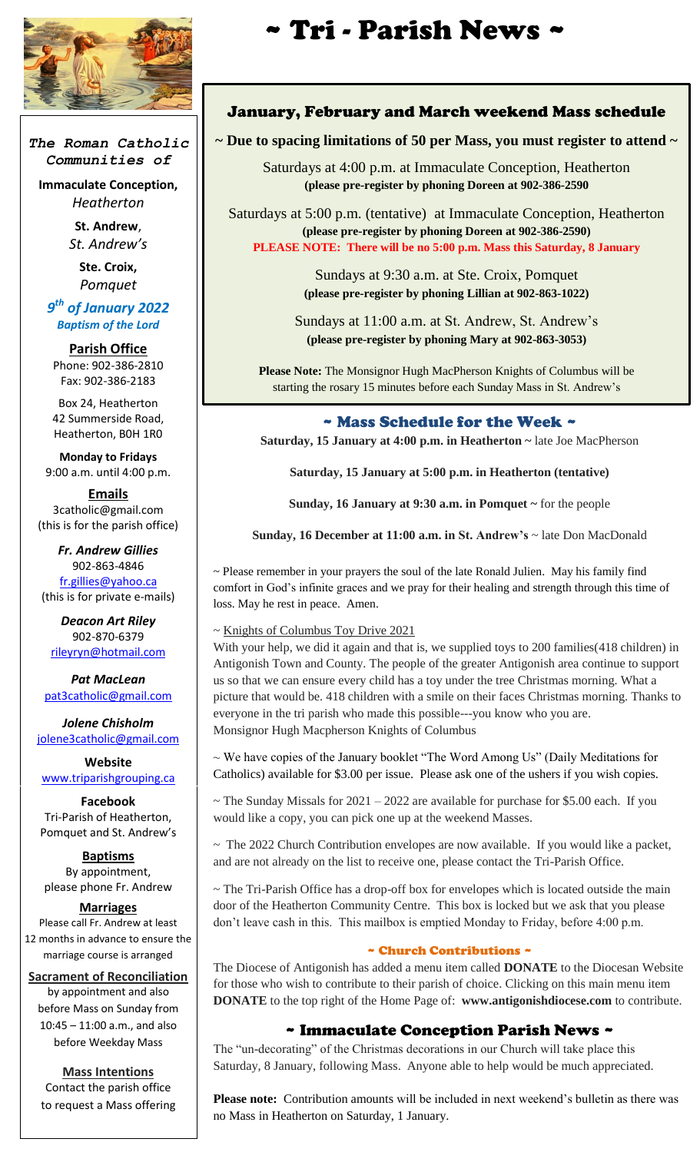

*The Roman Catholic Communities of*

**Immaculate Conception,** *Heatherton*

> **St. Andrew**, *St. Andrew's*

> > **Ste. Croix,** *Pomquet*

*9 th of January 2022 Baptism of the Lord*

**Parish Office** Phone: 902-386-2810 Fax: 902-386-2183

Box 24, Heatherton 42 Summerside Road, Heatherton, B0H 1R0

**Monday to Fridays** 9:00 a.m. until 4:00 p.m.

**Emails** 3catholic@gmail.com (this is for the parish office)

*Fr. Andrew Gillies* 902-863-4846 [fr.gillies@yahoo.ca](mailto:fr.gillies@yahoo.ca) (this is for private e-mails)

*Deacon Art Riley* 902-870-6379 [rileyryn@hotmail.com](mailto:rileyryn@hotmail.com)

*Pat MacLean* [pat3catholic@gmail.com](mailto:rileyryn@hotmail.com)

*Jolene Chisholm* [jolene3catholic@gmail.com](mailto:jolene3catholic@gmail.com)

**Website** [www.triparishgrouping.ca](http://www.triparishgrouping.ca/)

**Facebook** Tri-Parish of Heatherton, Pomquet and St. Andrew's

**Baptisms** By appointment, please phone Fr. Andrew

**Marriages** Please call Fr. Andrew at least 12 months in advance to ensure the

marriage course is arranged

**Sacrament of Reconciliation** by appointment and also before Mass on Sunday from 10:45 – 11:00 a.m., and also before Weekday Mass

**Mass Intentions** Contact the parish office to request a Mass offering

# ~ Tri - Parish News ~

#### January, February and March weekend Mass schedule

## **~ Due to spacing limitations of 50 per Mass, you must register to attend ~**

Saturdays at 4:00 p.m. at Immaculate Conception, Heatherton **(please pre-register by phoning Doreen at 902-386-2590**

Saturdays at 5:00 p.m. (tentative) at Immaculate Conception, Heatherton **(please pre-register by phoning Doreen at 902-386-2590) PLEASE NOTE: There will be no 5:00 p.m. Mass this Saturday, 8 January**

> Sundays at 9:30 a.m. at Ste. Croix, Pomquet **(please pre-register by phoning Lillian at 902-863-1022)**

Sundays at 11:00 a.m. at St. Andrew, St. Andrew's **(please pre-register by phoning Mary at 902-863-3053)**

**Please Note:** The Monsignor Hugh MacPherson Knights of Columbus will be starting the rosary 15 minutes before each Sunday Mass in St. Andrew's

### ~ Mass Schedule for the Week ~

**Saturday, 15 January at 4:00 p.m. in Heatherton ~** late Joe MacPherson

**Saturday, 15 January at 5:00 p.m. in Heatherton (tentative)**

**Sunday, 16 January at 9:30 a.m. in Pomquet ~** for the people

**Sunday, 16 December at 11:00 a.m. in St. Andrew's** ~ late Don MacDonald

~ Please remember in your prayers the soul of the late Ronald Julien. May his family find comfort in God's infinite graces and we pray for their healing and strength through this time of loss. May he rest in peace. Amen.

#### ~ Knights of Columbus Toy Drive 2021

With your help, we did it again and that is, we supplied toys to 200 families (418 children) in Antigonish Town and County. The people of the greater Antigonish area continue to support us so that we can ensure every child has a toy under the tree Christmas morning. What a picture that would be. 418 children with a smile on their faces Christmas morning. Thanks to everyone in the tri parish who made this possible---you know who you are. Monsignor Hugh Macpherson Knights of Columbus

~ We have copies of the January booklet "The Word Among Us" (Daily Meditations for Catholics) available for \$3.00 per issue. Please ask one of the ushers if you wish copies.

 $\sim$  The Sunday Missals for 2021 – 2022 are available for purchase for \$5.00 each. If you would like a copy, you can pick one up at the weekend Masses.

 $\sim$  The 2022 Church Contribution envelopes are now available. If you would like a packet, and are not already on the list to receive one, please contact the Tri-Parish Office.

~ The Tri-Parish Office has a drop-off box for envelopes which is located outside the main door of the Heatherton Community Centre. This box is locked but we ask that you please don't leave cash in this. This mailbox is emptied Monday to Friday, before 4:00 p.m.

#### ~ Church Contributions ~

The Diocese of Antigonish has added a menu item called **DONATE** to the Diocesan Website for those who wish to contribute to their parish of choice. Clicking on this main menu item **DONATE** to the top right of the Home Page of: **www.antigonishdiocese.com** to contribute.

### ~ Immaculate Conception Parish News ~

The "un-decorating" of the Christmas decorations in our Church will take place this Saturday, 8 January, following Mass. Anyone able to help would be much appreciated.

**Please note:** Contribution amounts will be included in next weekend's bulletin as there was no Mass in Heatherton on Saturday, 1 January.